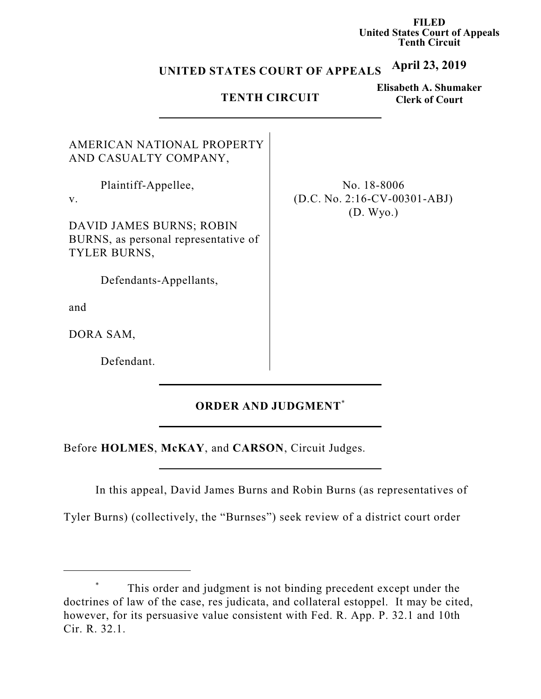**FILED United States Court of Appeals Tenth Circuit**

#### **April 23, 2019 UNITED STATES COURT OF APPEALS**

## **TENTH CIRCUIT**

**Elisabeth A. Shumaker Clerk of Court**

| AND CASUALTY COMPANY,                |  |
|--------------------------------------|--|
| Plaintiff-Appellee,                  |  |
| $\mathbf{V}$ .                       |  |
| DAVID JAMES BURNS; ROBIN             |  |
| BURNS, as personal representative of |  |
| <b>TYLER BURNS,</b>                  |  |

AMERICAN NATIONAL PROPERTY

Defendants-Appellants,

and

DORA SAM,

Defendant.

No. 18-8006 (D.C. No. 2:16-CV-00301-ABJ) (D. Wyo.)

# **ORDER AND JUDGMENT** \*

Before **HOLMES**, **McKAY**, and **CARSON**, Circuit Judges.

In this appeal, David James Burns and Robin Burns (as representatives of

Tyler Burns) (collectively, the "Burnses") seek review of a district court order

<sup>\*</sup> This order and judgment is not binding precedent except under the doctrines of law of the case, res judicata, and collateral estoppel. It may be cited, however, for its persuasive value consistent with Fed. R. App. P. 32.1 and 10th Cir. R. 32.1.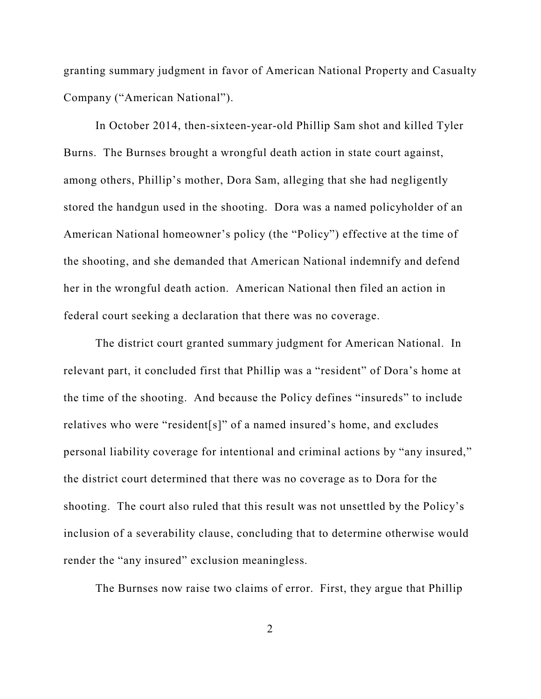granting summary judgment in favor of American National Property and Casualty Company ("American National").

In October 2014, then-sixteen-year-old Phillip Sam shot and killed Tyler Burns. The Burnses brought a wrongful death action in state court against, among others, Phillip's mother, Dora Sam, alleging that she had negligently stored the handgun used in the shooting. Dora was a named policyholder of an American National homeowner's policy (the "Policy") effective at the time of the shooting, and she demanded that American National indemnify and defend her in the wrongful death action. American National then filed an action in federal court seeking a declaration that there was no coverage.

The district court granted summary judgment for American National. In relevant part, it concluded first that Phillip was a "resident" of Dora's home at the time of the shooting. And because the Policy defines "insureds" to include relatives who were "resident[s]" of a named insured's home, and excludes personal liability coverage for intentional and criminal actions by "any insured," the district court determined that there was no coverage as to Dora for the shooting. The court also ruled that this result was not unsettled by the Policy's inclusion of a severability clause, concluding that to determine otherwise would render the "any insured" exclusion meaningless.

The Burnses now raise two claims of error. First, they argue that Phillip

2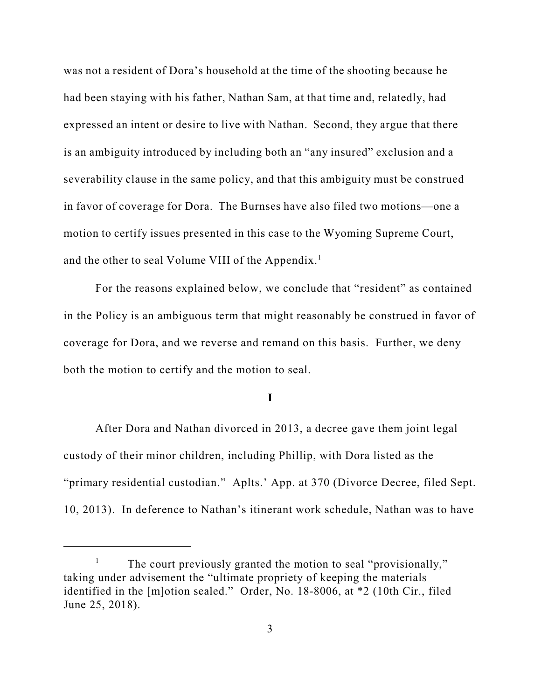was not a resident of Dora's household at the time of the shooting because he had been staying with his father, Nathan Sam, at that time and, relatedly, had expressed an intent or desire to live with Nathan. Second, they argue that there is an ambiguity introduced by including both an "any insured" exclusion and a severability clause in the same policy, and that this ambiguity must be construed in favor of coverage for Dora. The Burnses have also filed two motions—one a motion to certify issues presented in this case to the Wyoming Supreme Court, and the other to seal Volume VIII of the Appendix.<sup>1</sup>

For the reasons explained below, we conclude that "resident" as contained in the Policy is an ambiguous term that might reasonably be construed in favor of coverage for Dora, and we reverse and remand on this basis. Further, we deny both the motion to certify and the motion to seal.

**I**

After Dora and Nathan divorced in 2013, a decree gave them joint legal custody of their minor children, including Phillip, with Dora listed as the "primary residential custodian." Aplts.' App. at 370 (Divorce Decree, filed Sept. 10, 2013). In deference to Nathan's itinerant work schedule, Nathan was to have

<sup>&</sup>lt;sup>1</sup> The court previously granted the motion to seal "provisionally," taking under advisement the "ultimate propriety of keeping the materials identified in the [m]otion sealed." Order, No. 18-8006, at \*2 (10th Cir., filed June 25, 2018).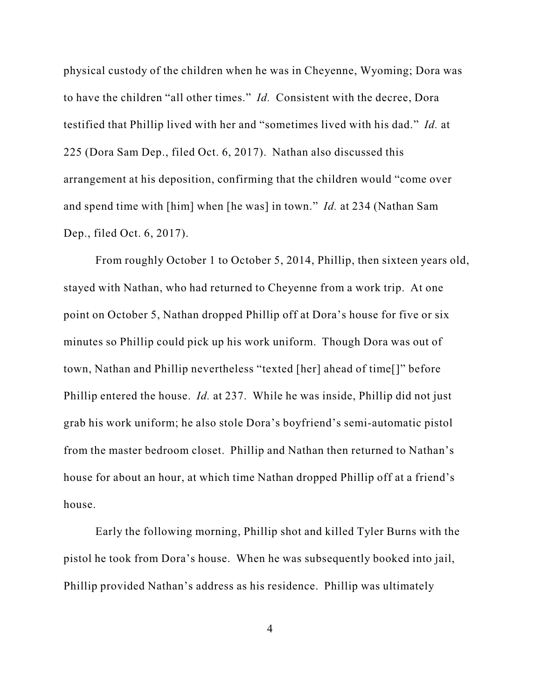physical custody of the children when he was in Cheyenne, Wyoming; Dora was to have the children "all other times." *Id.* Consistent with the decree, Dora testified that Phillip lived with her and "sometimes lived with his dad." *Id.* at 225 (Dora Sam Dep., filed Oct. 6, 2017). Nathan also discussed this arrangement at his deposition, confirming that the children would "come over and spend time with [him] when [he was] in town." *Id.* at 234 (Nathan Sam Dep., filed Oct. 6, 2017).

From roughly October 1 to October 5, 2014, Phillip, then sixteen years old, stayed with Nathan, who had returned to Cheyenne from a work trip. At one point on October 5, Nathan dropped Phillip off at Dora's house for five or six minutes so Phillip could pick up his work uniform. Though Dora was out of town, Nathan and Phillip nevertheless "texted [her] ahead of time[]" before Phillip entered the house. *Id.* at 237. While he was inside, Phillip did not just grab his work uniform; he also stole Dora's boyfriend's semi-automatic pistol from the master bedroom closet. Phillip and Nathan then returned to Nathan's house for about an hour, at which time Nathan dropped Phillip off at a friend's house.

Early the following morning, Phillip shot and killed Tyler Burns with the pistol he took from Dora's house. When he was subsequently booked into jail, Phillip provided Nathan's address as his residence. Phillip was ultimately

4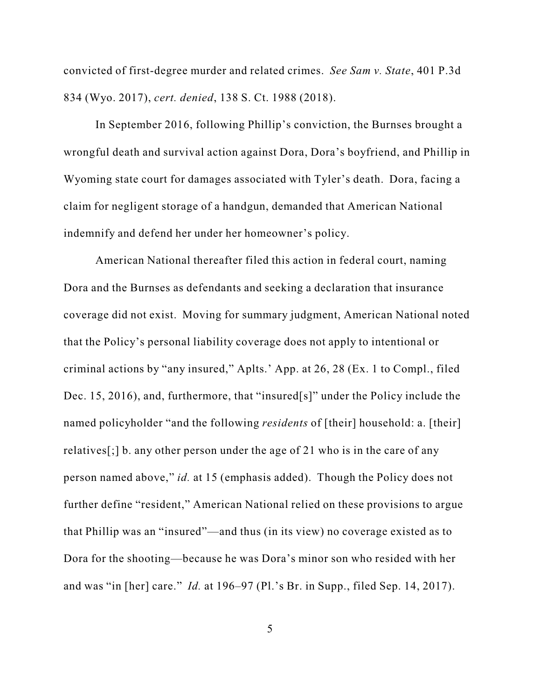convicted of first-degree murder and related crimes. *See Sam v. State*, 401 P.3d 834 (Wyo. 2017), *cert. denied*, 138 S. Ct. 1988 (2018).

In September 2016, following Phillip's conviction, the Burnses brought a wrongful death and survival action against Dora, Dora's boyfriend, and Phillip in Wyoming state court for damages associated with Tyler's death. Dora, facing a claim for negligent storage of a handgun, demanded that American National indemnify and defend her under her homeowner's policy.

American National thereafter filed this action in federal court, naming Dora and the Burnses as defendants and seeking a declaration that insurance coverage did not exist. Moving for summary judgment, American National noted that the Policy's personal liability coverage does not apply to intentional or criminal actions by "any insured," Aplts.' App. at 26, 28 (Ex. 1 to Compl., filed Dec. 15, 2016), and, furthermore, that "insured[s]" under the Policy include the named policyholder "and the following *residents* of [their] household: a. [their] relatives[;] b. any other person under the age of 21 who is in the care of any person named above," *id.* at 15 (emphasis added). Though the Policy does not further define "resident," American National relied on these provisions to argue that Phillip was an "insured"—and thus (in its view) no coverage existed as to Dora for the shooting—because he was Dora's minor son who resided with her and was "in [her] care." *Id.* at 196–97 (Pl.'s Br. in Supp., filed Sep. 14, 2017).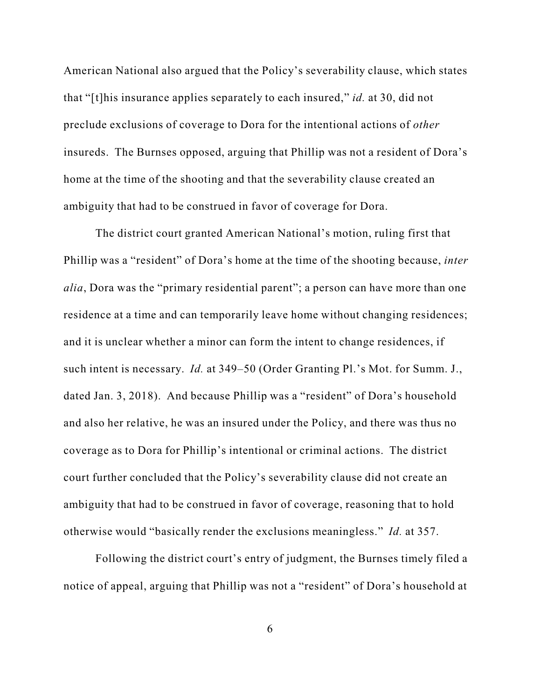American National also argued that the Policy's severability clause, which states that "[t]his insurance applies separately to each insured," *id.* at 30, did not preclude exclusions of coverage to Dora for the intentional actions of *other* insureds. The Burnses opposed, arguing that Phillip was not a resident of Dora's home at the time of the shooting and that the severability clause created an ambiguity that had to be construed in favor of coverage for Dora.

The district court granted American National's motion, ruling first that Phillip was a "resident" of Dora's home at the time of the shooting because, *inter alia*, Dora was the "primary residential parent"; a person can have more than one residence at a time and can temporarily leave home without changing residences; and it is unclear whether a minor can form the intent to change residences, if such intent is necessary. *Id.* at 349–50 (Order Granting Pl.'s Mot. for Summ. J., dated Jan. 3, 2018). And because Phillip was a "resident" of Dora's household and also her relative, he was an insured under the Policy, and there was thus no coverage as to Dora for Phillip's intentional or criminal actions. The district court further concluded that the Policy's severability clause did not create an ambiguity that had to be construed in favor of coverage, reasoning that to hold otherwise would "basically render the exclusions meaningless." *Id.* at 357.

Following the district court's entry of judgment, the Burnses timely filed a notice of appeal, arguing that Phillip was not a "resident" of Dora's household at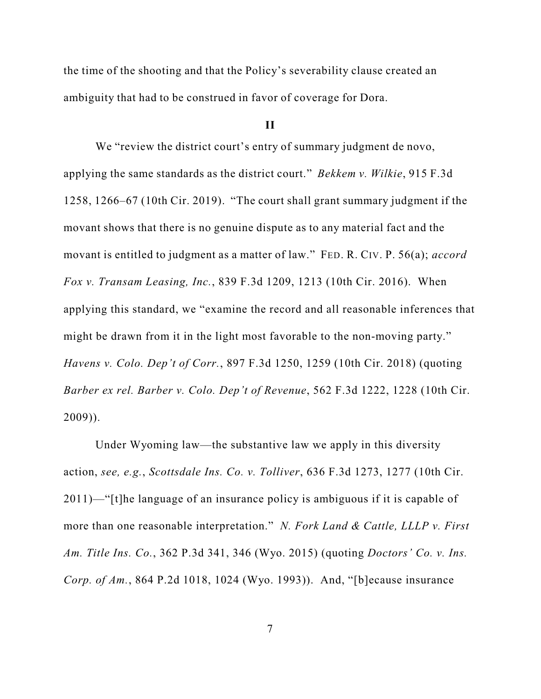the time of the shooting and that the Policy's severability clause created an ambiguity that had to be construed in favor of coverage for Dora.

#### **II**

We "review the district court's entry of summary judgment de novo, applying the same standards as the district court." *Bekkem v. Wilkie*, 915 F.3d 1258, 1266–67 (10th Cir. 2019). "The court shall grant summary judgment if the movant shows that there is no genuine dispute as to any material fact and the movant is entitled to judgment as a matter of law." FED. R. CIV. P. 56(a); *accord Fox v. Transam Leasing, Inc.*, 839 F.3d 1209, 1213 (10th Cir. 2016). When applying this standard, we "examine the record and all reasonable inferences that might be drawn from it in the light most favorable to the non-moving party." *Havens v. Colo. Dep't of Corr.*, 897 F.3d 1250, 1259 (10th Cir. 2018) (quoting *Barber ex rel. Barber v. Colo. Dep't of Revenue*, 562 F.3d 1222, 1228 (10th Cir. 2009)).

Under Wyoming law—the substantive law we apply in this diversity action, *see, e.g.*, *Scottsdale Ins. Co. v. Tolliver*, 636 F.3d 1273, 1277 (10th Cir. 2011)—"[t]he language of an insurance policy is ambiguous if it is capable of more than one reasonable interpretation." *N. Fork Land & Cattle, LLLP v. First Am. Title Ins. Co.*, 362 P.3d 341, 346 (Wyo. 2015) (quoting *Doctors' Co. v. Ins. Corp. of Am.*, 864 P.2d 1018, 1024 (Wyo. 1993)). And, "[b]ecause insurance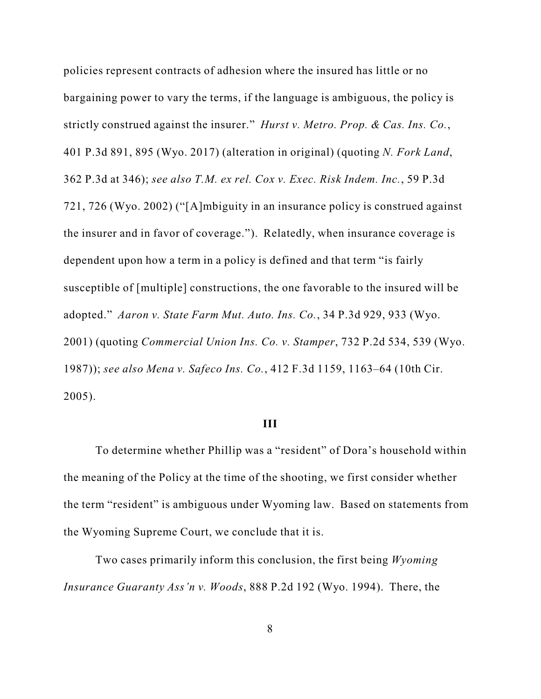policies represent contracts of adhesion where the insured has little or no bargaining power to vary the terms, if the language is ambiguous, the policy is strictly construed against the insurer." *Hurst v. Metro. Prop. & Cas. Ins. Co.*, 401 P.3d 891, 895 (Wyo. 2017) (alteration in original) (quoting *N. Fork Land*, 362 P.3d at 346); *see also T.M. ex rel. Cox v. Exec. Risk Indem. Inc.*, 59 P.3d 721, 726 (Wyo. 2002) ("[A]mbiguity in an insurance policy is construed against the insurer and in favor of coverage."). Relatedly, when insurance coverage is dependent upon how a term in a policy is defined and that term "is fairly susceptible of [multiple] constructions, the one favorable to the insured will be adopted." *Aaron v. State Farm Mut. Auto. Ins. Co.*, 34 P.3d 929, 933 (Wyo. 2001) (quoting *Commercial Union Ins. Co. v. Stamper*, 732 P.2d 534, 539 (Wyo. 1987)); *see also Mena v. Safeco Ins. Co.*, 412 F.3d 1159, 1163–64 (10th Cir. 2005).

#### **III**

To determine whether Phillip was a "resident" of Dora's household within the meaning of the Policy at the time of the shooting, we first consider whether the term "resident" is ambiguous under Wyoming law. Based on statements from the Wyoming Supreme Court, we conclude that it is.

Two cases primarily inform this conclusion, the first being *Wyoming Insurance Guaranty Ass'n v. Woods*, 888 P.2d 192 (Wyo. 1994). There, the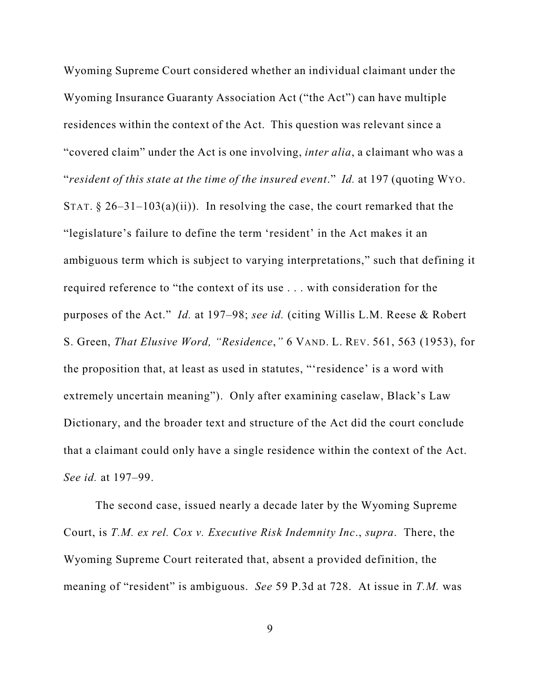Wyoming Supreme Court considered whether an individual claimant under the Wyoming Insurance Guaranty Association Act ("the Act") can have multiple residences within the context of the Act. This question was relevant since a "covered claim" under the Act is one involving, *inter alia*, a claimant who was a "*resident of this state at the time of the insured event*." *Id.* at 197 (quoting WYO. STAT.  $\S 26-31-103(a)(ii)$ . In resolving the case, the court remarked that the "legislature's failure to define the term 'resident' in the Act makes it an ambiguous term which is subject to varying interpretations," such that defining it required reference to "the context of its use . . . with consideration for the purposes of the Act." *Id.* at 197–98; *see id.* (citing Willis L.M. Reese & Robert S. Green, *That Elusive Word, "Residence*,*"* 6 VAND. L. REV. 561, 563 (1953), for the proposition that, at least as used in statutes, "'residence' is a word with extremely uncertain meaning"). Only after examining caselaw, Black's Law Dictionary, and the broader text and structure of the Act did the court conclude that a claimant could only have a single residence within the context of the Act. *See id.* at 197–99.

The second case, issued nearly a decade later by the Wyoming Supreme Court, is *T.M. ex rel. Cox v. Executive Risk Indemnity Inc*., *supra*. There, the Wyoming Supreme Court reiterated that, absent a provided definition, the meaning of "resident" is ambiguous. *See* 59 P.3d at 728. At issue in *T.M.* was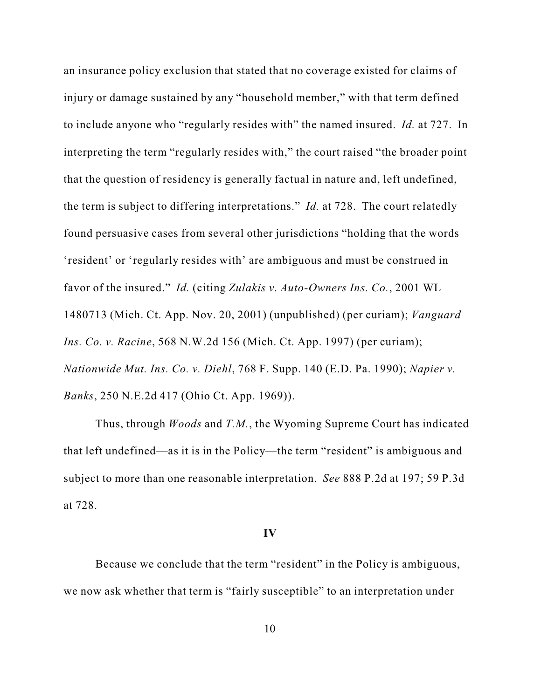an insurance policy exclusion that stated that no coverage existed for claims of injury or damage sustained by any "household member," with that term defined to include anyone who "regularly resides with" the named insured. *Id.* at 727. In interpreting the term "regularly resides with," the court raised "the broader point that the question of residency is generally factual in nature and, left undefined, the term is subject to differing interpretations." *Id.* at 728. The court relatedly found persuasive cases from several other jurisdictions "holding that the words 'resident' or 'regularly resides with' are ambiguous and must be construed in favor of the insured." *Id.* (citing *Zulakis v. Auto-Owners Ins. Co.*, 2001 WL 1480713 (Mich. Ct. App. Nov. 20, 2001) (unpublished) (per curiam); *Vanguard Ins. Co. v. Racine*, 568 N.W.2d 156 (Mich. Ct. App. 1997) (per curiam); *Nationwide Mut. Ins. Co. v. Diehl*, 768 F. Supp. 140 (E.D. Pa. 1990); *Napier v. Banks*, 250 N.E.2d 417 (Ohio Ct. App. 1969)).

Thus, through *Woods* and *T.M.*, the Wyoming Supreme Court has indicated that left undefined—as it is in the Policy—the term "resident" is ambiguous and subject to more than one reasonable interpretation. *See* 888 P.2d at 197; 59 P.3d at 728.

#### **IV**

Because we conclude that the term "resident" in the Policy is ambiguous, we now ask whether that term is "fairly susceptible" to an interpretation under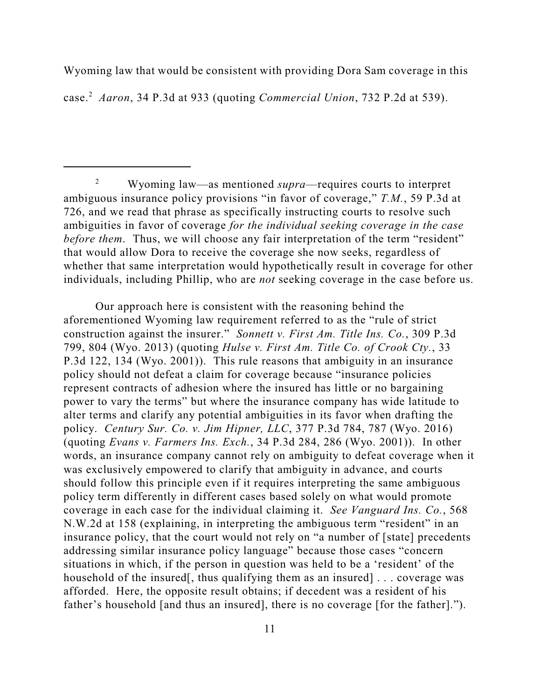Wyoming law that would be consistent with providing Dora Sam coverage in this case. <sup>2</sup> *Aaron*, 34 P.3d at 933 (quoting *Commercial Union*, 732 P.2d at 539).

<sup>2</sup> Wyoming law—as mentioned *supra*—requires courts to interpret ambiguous insurance policy provisions "in favor of coverage," *T.M.*, 59 P.3d at 726, and we read that phrase as specifically instructing courts to resolve such ambiguities in favor of coverage *for the individual seeking coverage in the case before them*. Thus, we will choose any fair interpretation of the term "resident" that would allow Dora to receive the coverage she now seeks, regardless of whether that same interpretation would hypothetically result in coverage for other individuals, including Phillip, who are *not* seeking coverage in the case before us.

Our approach here is consistent with the reasoning behind the aforementioned Wyoming law requirement referred to as the "rule of strict construction against the insurer." *Sonnett v. First Am. Title Ins. Co.*, 309 P.3d 799, 804 (Wyo. 2013) (quoting *Hulse v. First Am. Title Co. of Crook Cty.*, 33 P.3d 122, 134 (Wyo. 2001)). This rule reasons that ambiguity in an insurance policy should not defeat a claim for coverage because "insurance policies represent contracts of adhesion where the insured has little or no bargaining power to vary the terms" but where the insurance company has wide latitude to alter terms and clarify any potential ambiguities in its favor when drafting the policy. *Century Sur. Co. v. Jim Hipner, LLC*, 377 P.3d 784, 787 (Wyo. 2016) (quoting *Evans v. Farmers Ins. Exch.*, 34 P.3d 284, 286 (Wyo. 2001)). In other words, an insurance company cannot rely on ambiguity to defeat coverage when it was exclusively empowered to clarify that ambiguity in advance, and courts should follow this principle even if it requires interpreting the same ambiguous policy term differently in different cases based solely on what would promote coverage in each case for the individual claiming it. *See Vanguard Ins. Co.*, 568 N.W.2d at 158 (explaining, in interpreting the ambiguous term "resident" in an insurance policy, that the court would not rely on "a number of [state] precedents addressing similar insurance policy language" because those cases "concern situations in which, if the person in question was held to be a 'resident' of the household of the insured, thus qualifying them as an insured [... coverage was afforded. Here, the opposite result obtains; if decedent was a resident of his father's household [and thus an insured], there is no coverage [for the father].").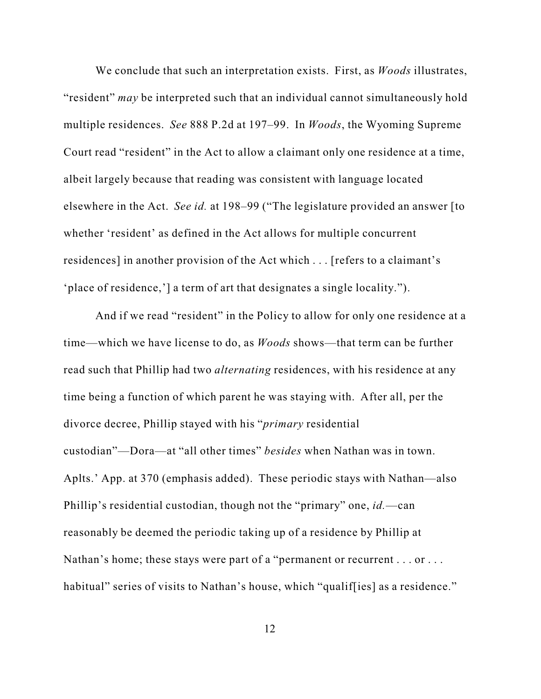We conclude that such an interpretation exists. First, as *Woods* illustrates, "resident" *may* be interpreted such that an individual cannot simultaneously hold multiple residences. *See* 888 P.2d at 197–99. In *Woods*, the Wyoming Supreme Court read "resident" in the Act to allow a claimant only one residence at a time, albeit largely because that reading was consistent with language located elsewhere in the Act. *See id.* at 198–99 ("The legislature provided an answer [to whether 'resident' as defined in the Act allows for multiple concurrent residences] in another provision of the Act which . . . [refers to a claimant's 'place of residence,'] a term of art that designates a single locality.").

And if we read "resident" in the Policy to allow for only one residence at a time—which we have license to do, as *Woods* shows—that term can be further read such that Phillip had two *alternating* residences, with his residence at any time being a function of which parent he was staying with. After all, per the divorce decree, Phillip stayed with his "*primary* residential custodian"—Dora—at "all other times" *besides* when Nathan was in town. Aplts.' App. at 370 (emphasis added). These periodic stays with Nathan—also Phillip's residential custodian, though not the "primary" one, *id.*—can reasonably be deemed the periodic taking up of a residence by Phillip at Nathan's home; these stays were part of a "permanent or recurrent . . . or . . . habitual" series of visits to Nathan's house, which "qualif [ies] as a residence."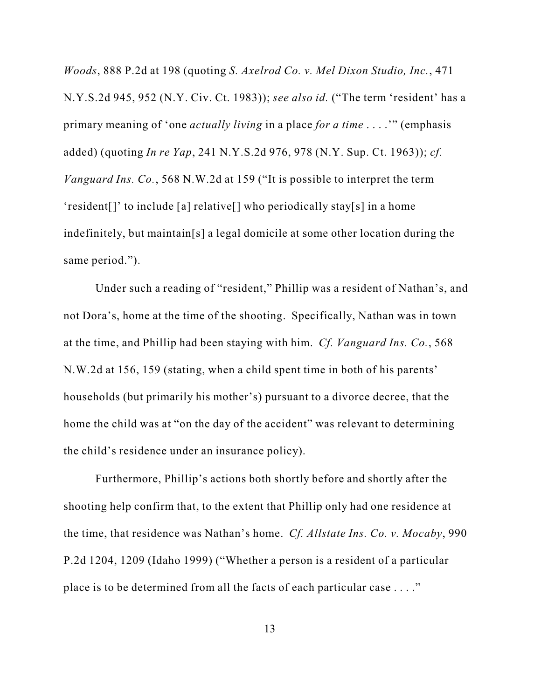*Woods*, 888 P.2d at 198 (quoting *S. Axelrod Co. v. Mel Dixon Studio, Inc.*, 471 N.Y.S.2d 945, 952 (N.Y. Civ. Ct. 1983)); *see also id.* ("The term 'resident' has a primary meaning of 'one *actually living* in a place *for a time* . . . .'" (emphasis added) (quoting *In re Yap*, 241 N.Y.S.2d 976, 978 (N.Y. Sup. Ct. 1963)); *cf. Vanguard Ins. Co.*, 568 N.W.2d at 159 ("It is possible to interpret the term 'resident[]' to include [a] relative[] who periodically stay[s] in a home indefinitely, but maintain[s] a legal domicile at some other location during the same period.").

Under such a reading of "resident," Phillip was a resident of Nathan's, and not Dora's, home at the time of the shooting. Specifically, Nathan was in town at the time, and Phillip had been staying with him. *Cf. Vanguard Ins. Co.*, 568 N.W.2d at 156, 159 (stating, when a child spent time in both of his parents' households (but primarily his mother's) pursuant to a divorce decree, that the home the child was at "on the day of the accident" was relevant to determining the child's residence under an insurance policy).

Furthermore, Phillip's actions both shortly before and shortly after the shooting help confirm that, to the extent that Phillip only had one residence at the time, that residence was Nathan's home. *Cf. Allstate Ins. Co. v. Mocaby*, 990 P.2d 1204, 1209 (Idaho 1999) ("Whether a person is a resident of a particular place is to be determined from all the facts of each particular case . . . ."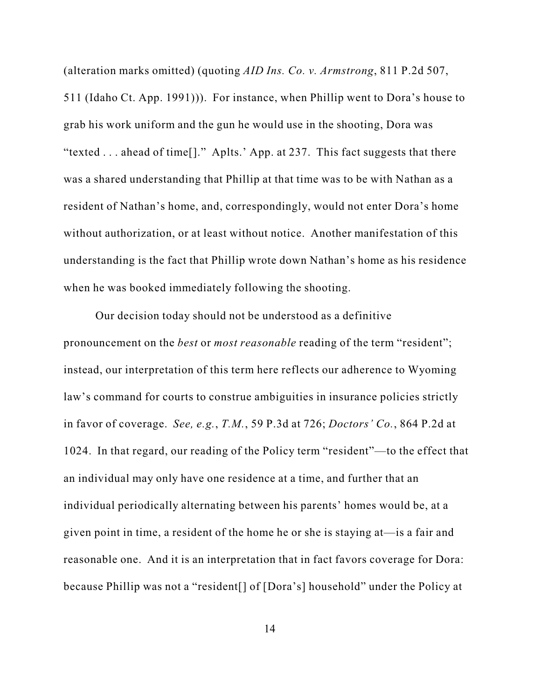(alteration marks omitted) (quoting *AID Ins. Co. v. Armstrong*, 811 P.2d 507, 511 (Idaho Ct. App. 1991))). For instance, when Phillip went to Dora's house to grab his work uniform and the gun he would use in the shooting, Dora was "texted . . . ahead of time[]." Aplts.' App. at 237. This fact suggests that there was a shared understanding that Phillip at that time was to be with Nathan as a resident of Nathan's home, and, correspondingly, would not enter Dora's home without authorization, or at least without notice. Another manifestation of this understanding is the fact that Phillip wrote down Nathan's home as his residence when he was booked immediately following the shooting.

Our decision today should not be understood as a definitive pronouncement on the *best* or *most reasonable* reading of the term "resident"; instead, our interpretation of this term here reflects our adherence to Wyoming law's command for courts to construe ambiguities in insurance policies strictly in favor of coverage. *See, e.g.*, *T.M.*, 59 P.3d at 726; *Doctors' Co.*, 864 P.2d at 1024. In that regard, our reading of the Policy term "resident"—to the effect that an individual may only have one residence at a time, and further that an individual periodically alternating between his parents' homes would be, at a given point in time, a resident of the home he or she is staying at—is a fair and reasonable one. And it is an interpretation that in fact favors coverage for Dora: because Phillip was not a "resident[] of [Dora's] household" under the Policy at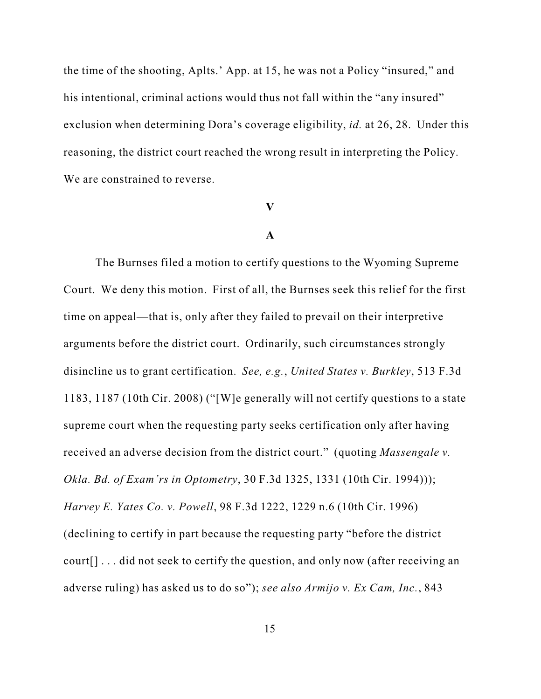the time of the shooting, Aplts.' App. at 15, he was not a Policy "insured," and his intentional, criminal actions would thus not fall within the "any insured" exclusion when determining Dora's coverage eligibility, *id.* at 26, 28. Under this reasoning, the district court reached the wrong result in interpreting the Policy. We are constrained to reverse.

## **V**

## **A**

The Burnses filed a motion to certify questions to the Wyoming Supreme Court. We deny this motion. First of all, the Burnses seek this relief for the first time on appeal—that is, only after they failed to prevail on their interpretive arguments before the district court. Ordinarily, such circumstances strongly disincline us to grant certification. *See, e.g.*, *United States v. Burkley*, 513 F.3d 1183, 1187 (10th Cir. 2008) ("[W]e generally will not certify questions to a state supreme court when the requesting party seeks certification only after having received an adverse decision from the district court." (quoting *Massengale v. Okla. Bd. of Exam'rs in Optometry*, 30 F.3d 1325, 1331 (10th Cir. 1994))); *Harvey E. Yates Co. v. Powell*, 98 F.3d 1222, 1229 n.6 (10th Cir. 1996) (declining to certify in part because the requesting party "before the district court[] . . . did not seek to certify the question, and only now (after receiving an adverse ruling) has asked us to do so"); *see also Armijo v. Ex Cam, Inc.*, 843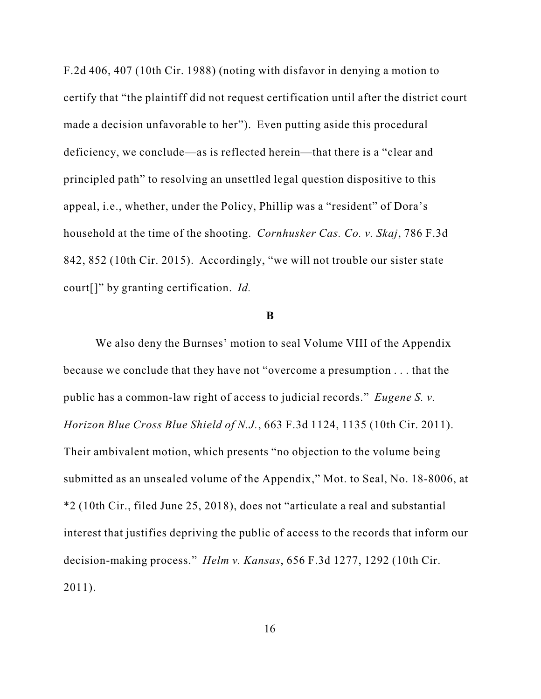F.2d 406, 407 (10th Cir. 1988) (noting with disfavor in denying a motion to certify that "the plaintiff did not request certification until after the district court made a decision unfavorable to her"). Even putting aside this procedural deficiency, we conclude—as is reflected herein—that there is a "clear and principled path" to resolving an unsettled legal question dispositive to this appeal, i.e., whether, under the Policy, Phillip was a "resident" of Dora's household at the time of the shooting. *Cornhusker Cas. Co. v. Skaj*, 786 F.3d 842, 852 (10th Cir. 2015). Accordingly, "we will not trouble our sister state court[]" by granting certification. *Id.*

### **B**

We also deny the Burnses' motion to seal Volume VIII of the Appendix because we conclude that they have not "overcome a presumption . . . that the public has a common-law right of access to judicial records." *Eugene S. v. Horizon Blue Cross Blue Shield of N.J.*, 663 F.3d 1124, 1135 (10th Cir. 2011). Their ambivalent motion, which presents "no objection to the volume being submitted as an unsealed volume of the Appendix," Mot. to Seal, No. 18-8006, at \*2 (10th Cir., filed June 25, 2018), does not "articulate a real and substantial interest that justifies depriving the public of access to the records that inform our decision-making process." *Helm v. Kansas*, 656 F.3d 1277, 1292 (10th Cir. 2011).